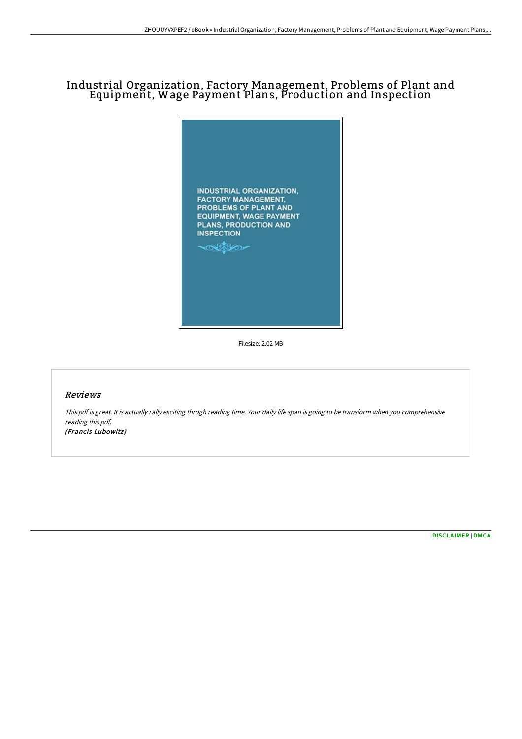# Industrial Organization, Factory Management, Problems of Plant and Equipment, Wage Payment Plans, Production and Inspection



Filesize: 2.02 MB

## Reviews

This pdf is great. It is actually rally exciting throgh reading time. Your daily life span is going to be transform when you comprehensive reading this pdf. (Francis Lubowitz)

[DISCLAIMER](http://techno-pub.tech/disclaimer.html) | [DMCA](http://techno-pub.tech/dmca.html)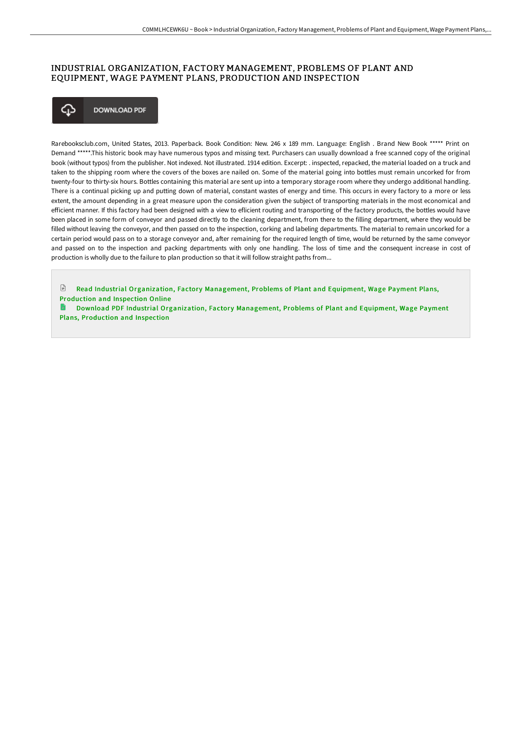# INDUSTRIAL ORGANIZATION, FACTORY MANAGEMENT, PROBLEMS OF PLANT AND EQUIPMENT, WAGE PAYMENT PLANS, PRODUCTION AND INSPECTION



Rarebooksclub.com, United States, 2013. Paperback. Book Condition: New. 246 x 189 mm. Language: English . Brand New Book \*\*\*\*\* Print on Demand \*\*\*\*\*.This historic book may have numerous typos and missing text. Purchasers can usually download a free scanned copy of the original book (without typos) from the publisher. Not indexed. Not illustrated. 1914 edition. Excerpt: . inspected, repacked, the material loaded on a truck and taken to the shipping room where the covers of the boxes are nailed on. Some of the material going into bottles must remain uncorked for from twenty-four to thirty-six hours. Bottles containing this material are sent up into a temporary storage room where they undergo additional handling. There is a continual picking up and putting down of material, constant wastes of energy and time. This occurs in every factory to a more or less extent, the amount depending in a great measure upon the consideration given the subject of transporting materials in the most economical and efficient manner. If this factory had been designed with a view to eflicient routing and transporting of the factory products, the bottles would have been placed in some form of conveyor and passed directly to the cleaning department, from there to the filling department, where they would be filled without leaving the conveyor, and then passed on to the inspection, corking and labeling departments. The material to remain uncorked for a certain period would pass on to a storage conveyor and, after remaining for the required length of time, would be returned by the same conveyor and passed on to the inspection and packing departments with only one handling. The loss of time and the consequent increase in cost of production is wholly due to the failure to plan production so that it will follow straight paths from...

 $\mathbb{R}$ Read Industrial [Organization,](http://techno-pub.tech/industrial-organization-factory-management-probl.html) Factory Management, Problems of Plant and Equipment, Wage Payment Plans, Production and Inspection Online

h Download PDF Industrial [Organization,](http://techno-pub.tech/industrial-organization-factory-management-probl.html) Factory Management, Problems of Plant and Equipment, Wage Payment Plans, Production and Inspection